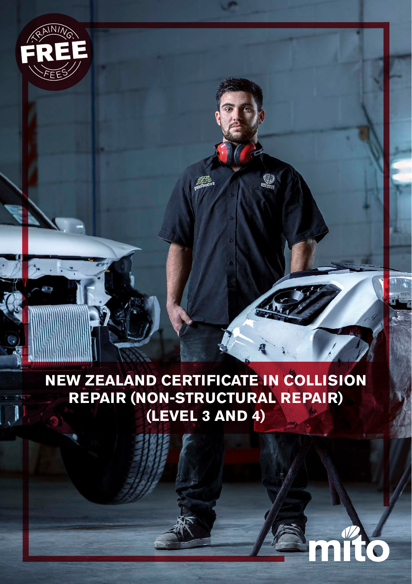

# **NEW ZEALAND CERTIFICATE IN COLLISION REPAIR (NON-STRUCTURAL REPAIR) (LEVEL 3 AND 4)**

 $\circledS$ 

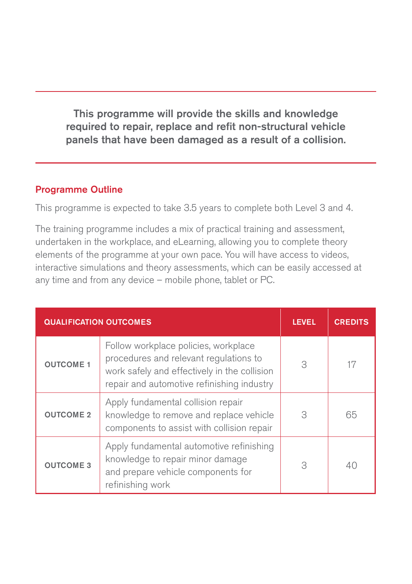This programme will provide the skills and knowledge required to repair, replace and refit non-structural vehicle panels that have been damaged as a result of a collision.

#### Programme Outline

This programme is expected to take 3.5 years to complete both Level 3 and 4.

The training programme includes a mix of practical training and assessment, undertaken in the workplace, and eLearning, allowing you to complete theory elements of the programme at your own pace. You will have access to videos, interactive simulations and theory assessments, which can be easily accessed at any time and from any device – mobile phone, tablet or PC.

| <b>QUALIFICATION OUTCOMES</b> |                                                                                                                                                                              | <b>LEVEL</b> | <b>CREDITS</b> |
|-------------------------------|------------------------------------------------------------------------------------------------------------------------------------------------------------------------------|--------------|----------------|
| <b>OUTCOME 1</b>              | Follow workplace policies, workplace<br>procedures and relevant regulations to<br>work safely and effectively in the collision<br>repair and automotive refinishing industry | 3            | 17             |
| <b>OUTCOME 2</b>              | Apply fundamental collision repair<br>knowledge to remove and replace vehicle<br>components to assist with collision repair                                                  | 3            | 65             |
| <b>OUTCOME 3</b>              | Apply fundamental automotive refinishing<br>knowledge to repair minor damage<br>and prepare vehicle components for<br>refinishing work                                       | 3            | 40             |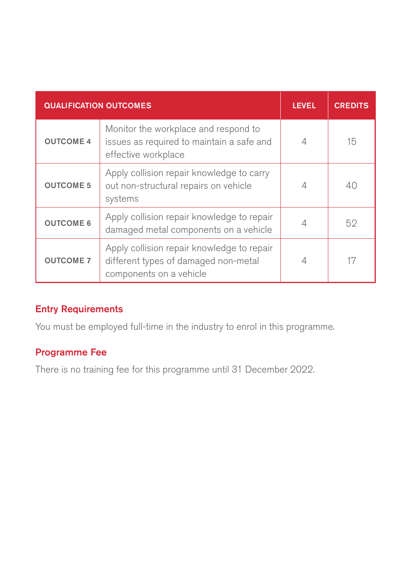| <b>QUALIFICATION OUTCOMES</b> |                                                                                                               | <b>LEVEL</b> | <b>CREDITS</b> |
|-------------------------------|---------------------------------------------------------------------------------------------------------------|--------------|----------------|
| <b>OUTCOME 4</b>              | Monitor the workplace and respond to<br>issues as required to maintain a safe and<br>effective workplace      |              | 15             |
| <b>OUTCOME 5</b>              | Apply collision repair knowledge to carry<br>out non-structural repairs on vehicle<br>systems                 | 4            | 40             |
| <b>OUTCOME 6</b>              | Apply collision repair knowledge to repair<br>damaged metal components on a vehicle                           |              | 52             |
| <b>OUTCOME 7</b>              | Apply collision repair knowledge to repair<br>different types of damaged non-metal<br>components on a vehicle |              | 17             |

### Entry Requirements

You must be employed full-time in the industry to enrol in this programme.

#### Programme Fee

There is no training fee for this programme until 31 December 2022.